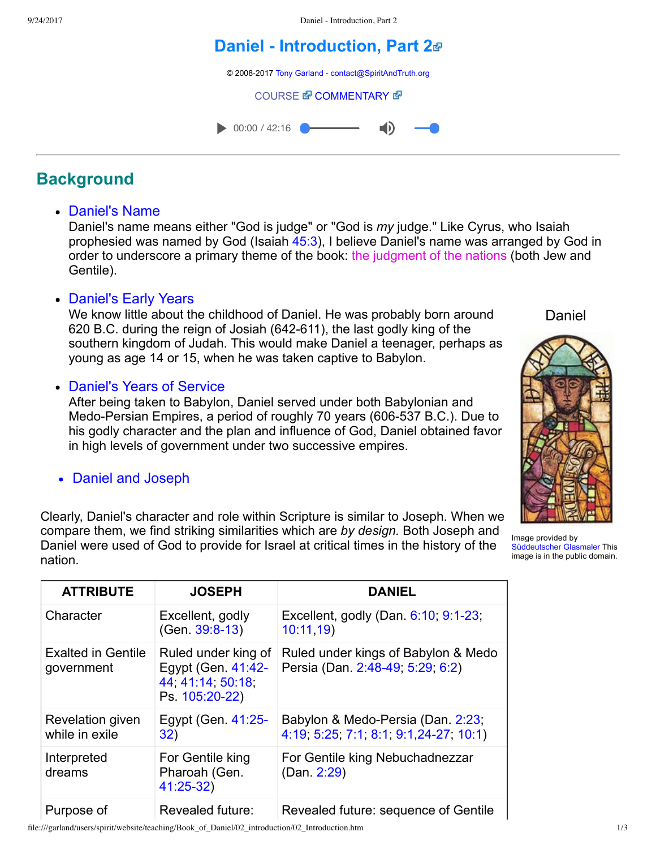9/24/2017 Daniel - Introduction, Part 2

# **Daniel [Introduction,](file:///garland/users/spirit/website/teaching/Book_of_Daniel/02_introduction/index.htm) Part 2**

© 2008-2017 [Tony Garland](file:///garland/users/spirit/website/teaching/teachers/tony_garland/bio.htm) - [contact@SpiritAndTruth.org](mailto:contact@SpiritAndTruth.org?subject=ST-MAIL:%20Daniel%20-%20Introduction,%20Part%202)

[COURSE](file:///garland/users/spirit/website/teaching/Book_of_Daniel/02_introduction/index.htm) *T* [COMMENTARY](file:///garland/users/spirit/website/teaching/Book_of_Daniel/commentary/htm/index.html?Introduction) *T* 

 $\bullet$  00:00 / 42:16

# **Background**

• Daniel's Name

Daniel's name means either "God is judge" or "God is *my* judge." Like Cyrus, who Isaiah prophesied was named by God (Isaiah [45:3\)](file:///garland/users/spirit/website/bibles/nasb/b23c045.htm#Isa._C45V3), I believe Daniel's name was arranged by God in order to underscore a primary theme of the book: the judgment of the nations (both Jew and Gentile).

Excellent, godly (Dan.  $6:10$ ;  $9:1-23$ ;

Ruled under kings of Babylon & Medo

Babylon & Medo-Persia (Dan. [2:23](file:///garland/users/spirit/website/bibles/nasb/b27c002.htm#Dan._C2V23); [4:19](file:///garland/users/spirit/website/bibles/nasb/b27c004.htm#Dan._C4V19); [5:25](file:///garland/users/spirit/website/bibles/nasb/b27c005.htm#Dan._C5V25); [7:1;](file:///garland/users/spirit/website/bibles/nasb/b27c007.htm#Dan._C7V1) [8:1](file:///garland/users/spirit/website/bibles/nasb/b27c008.htm#Dan._C8V1); [9:1,](file:///garland/users/spirit/website/bibles/nasb/b27c009.htm#Dan._C9V1)[2427;](file:///garland/users/spirit/website/bibles/nasb/b27c009.htm#Dan._C9V24) [10:1\)](file:///garland/users/spirit/website/bibles/nasb/b27c010.htm#Dan._C10V1)

Persia (Dan. 2:48-49; [5:29;](file:///garland/users/spirit/website/bibles/nasb/b27c005.htm#Dan._C5V29) [6:2](file:///garland/users/spirit/website/bibles/nasb/b27c006.htm#Dan._C6V2))

• Daniel's Early Years

We know little about the childhood of Daniel. He was probably born around 620 B.C. during the reign of Josiah (642611), the last godly king of the southern kingdom of Judah. This would make Daniel a teenager, perhaps as young as age 14 or 15, when he was taken captive to Babylon.

Daniel's Years of Service

After being taken to Babylon, Daniel served under both Babylonian and Medo-Persian Empires, a period of roughly 70 years (606-537 B.C.). Due to his godly character and the plan and influence of God, Daniel obtained favor in high levels of government under two successive empires.

Daniel and Joseph

Character Excellent, godly

32)

Exalted in Gentile

Revelation given while in exile

government

Clearly, Daniel's character and role within Scripture is similar to Joseph. When we compare them, we find striking similarities which are *by design.* Both Joseph and Daniel were used of God to provide for Israel at critical times in the history of the nation.

[10:11](file:///garland/users/spirit/website/bibles/nasb/b27c010.htm#Dan._C10V11)[,19\)](file:///garland/users/spirit/website/bibles/nasb/b27c010.htm#Dan._C10V19)

| Image provided by              |
|--------------------------------|
| Süddeutscher Glasmaler This    |
| image is in the public domain. |

|  | Interpreted<br>dreams                                                                            | For Gentile king<br>Pharoah (Gen.<br>41:25-32) | For Gentile king Nebuchadnezzar<br>(Dan. 2:29) |  |  |
|--|--------------------------------------------------------------------------------------------------|------------------------------------------------|------------------------------------------------|--|--|
|  | Purpose of                                                                                       | Revealed future:                               | Revealed future: sequence of Gentile           |  |  |
|  | file:///garland/users/spirit/website/teaching/Book_of_Daniel/02_introduction/02_Introduction.htm |                                                |                                                |  |  |

**ATTRIBUTE JOSEPH DANIEL**

(Gen. 39:8-13)

Ruled under king of [Egypt \(Gen. 41:42](file:///garland/users/spirit/website/bibles/nasb/b01c041.htm#Gen._C41V42) 44; [41:14;](file:///garland/users/spirit/website/bibles/nasb/b01c041.htm#Gen._C41V14) [50:18;](file:///garland/users/spirit/website/bibles/nasb/b01c050.htm#Gen._C50V18) Ps. 105:20-22)

[Egypt \(Gen. 41:25](file:///garland/users/spirit/website/bibles/nasb/b01c041.htm#Gen._C41V25)

Daniel

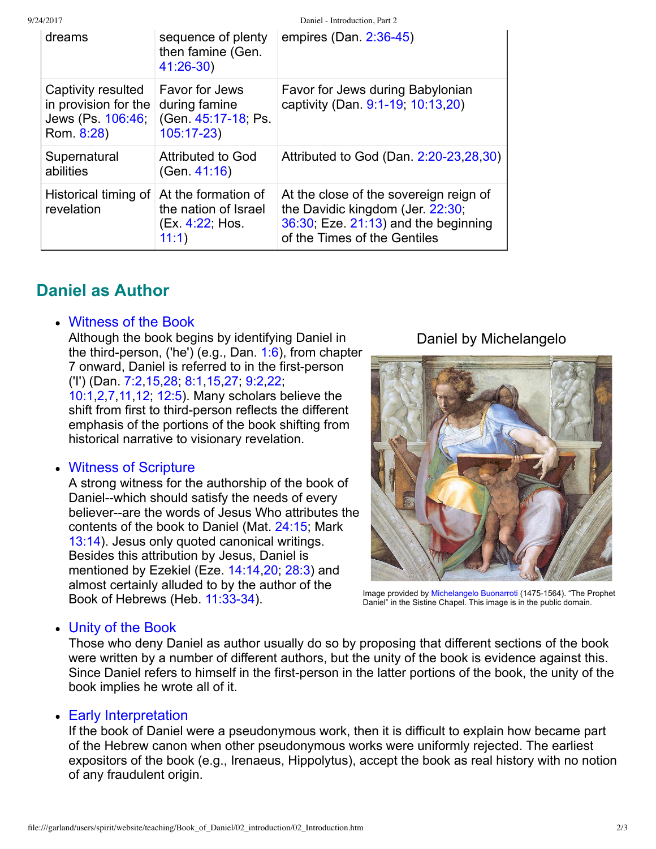9/24/2017 Daniel - Introduction, Part 2

| dreams                                                                       | sequence of plenty<br>then famine (Gen.<br>41:26-30)                                           | empires (Dan. 2:36-45)                                                                                                                             |
|------------------------------------------------------------------------------|------------------------------------------------------------------------------------------------|----------------------------------------------------------------------------------------------------------------------------------------------------|
| Captivity resulted<br>in provision for the<br>Jews (Ps 106:46)<br>Rom. 8:28) | Favor for Jews<br>during famine<br>(Gen. 45:17-18, Ps.<br>$105:17-23$                          | Favor for Jews during Babylonian<br>captivity (Dan. 9:1-19, 10:13.20)                                                                              |
| Supernatural<br>abilities                                                    | <b>Attributed to God</b><br>(Gen. 41:16)                                                       | Attributed to God (Dan. 2:20-23,28,30)                                                                                                             |
| revelation                                                                   | Historical timing of   At the formation of<br>the nation of Israel<br>(Ex. 4:22, Hos.<br>11:1) | At the close of the sovereign reign of<br>the Davidic kingdom (Jer. 22:30,<br>36:30; Eze. 21:13) and the beginning<br>of the Times of the Gentiles |

### **Daniel as Author**

#### Witness of the Book

Although the book begins by identifying Daniel in the third-person, ('he') (e.g., Dan.  $1:6$ ), from chapter 7 onward, Daniel is referred to in the first-person ('I') (Dan. [7:2](file:///garland/users/spirit/website/bibles/nasb/b27c007.htm#Dan._C7V2)[,15,](file:///garland/users/spirit/website/bibles/nasb/b27c007.htm#Dan._C7V15)[28](file:///garland/users/spirit/website/bibles/nasb/b27c007.htm#Dan._C7V28); [8:1](file:///garland/users/spirit/website/bibles/nasb/b27c008.htm#Dan._C8V1)[,15](file:///garland/users/spirit/website/bibles/nasb/b27c008.htm#Dan._C8V15),[27;](file:///garland/users/spirit/website/bibles/nasb/b27c008.htm#Dan._C8V27) [9:2](file:///garland/users/spirit/website/bibles/nasb/b27c009.htm#Dan._C9V2)[,22;](file:///garland/users/spirit/website/bibles/nasb/b27c009.htm#Dan._C9V22) [10:1](file:///garland/users/spirit/website/bibles/nasb/b27c010.htm#Dan._C10V1),[2](file:///garland/users/spirit/website/bibles/nasb/b27c010.htm#Dan._C10V2),[7,](file:///garland/users/spirit/website/bibles/nasb/b27c010.htm#Dan._C10V7)[11](file:///garland/users/spirit/website/bibles/nasb/b27c010.htm#Dan._C10V11)[,12;](file:///garland/users/spirit/website/bibles/nasb/b27c010.htm#Dan._C10V12) [12:5\)](file:///garland/users/spirit/website/bibles/nasb/b27c012.htm#Dan._C12V5). Many scholars believe the shift from first to third-person reflects the different emphasis of the portions of the book shifting from historical narrative to visionary revelation.

#### Witness of Scripture

A strong witness for the authorship of the book of Daniel--which should satisfy the needs of every believer--are the words of Jesus Who attributes the contents of the book to Daniel (Mat. [24:15](file:///garland/users/spirit/website/bibles/nasb/b40c024.htm#Mat._C24V15); Mark [13:14](file:///garland/users/spirit/website/bibles/nasb/b41c013.htm#Mark_C13V14)). Jesus only quoted canonical writings. Besides this attribution by Jesus, Daniel is mentioned by Ezekiel (Eze. [14:14](file:///garland/users/spirit/website/bibles/nasb/b26c014.htm#Eze._C14V14)[,20;](file:///garland/users/spirit/website/bibles/nasb/b26c014.htm#Eze._C14V20) [28:3\)](file:///garland/users/spirit/website/bibles/nasb/b26c028.htm#Eze._C28V3) and almost certainly alluded to by the author of the Book of Hebrews (Heb. 11:33-34).

#### Daniel by Michelangelo



[Image provided by](file:///garland/users/spirit/website/teaching/Book_of_Daniel/02_introduction/Daniel.jpg) [Michelangelo Buonarroti](http://commons.wikimedia.org/wiki/File:%D0%94%D0%B0%D0%BD%D0%B8%D0%B8%D0%BB.jpg) (1475-1564). "The Prophet Daniel" in the Sistine Chapel. This image is in the public domain.

#### Unity of the Book

Those who deny Daniel as author usually do so by proposing that different sections of the book were written by a number of different authors, but the unity of the book is evidence against this. Since Daniel refers to himself in the first-person in the latter portions of the book, the unity of the book implies he wrote all of it.

#### • Early Interpretation

If the book of Daniel were a pseudonymous work, then it is difficult to explain how became part of the Hebrew canon when other pseudonymous works were uniformly rejected. The earliest expositors of the book (e.g., Irenaeus, Hippolytus), accept the book as real history with no notion of any fraudulent origin.